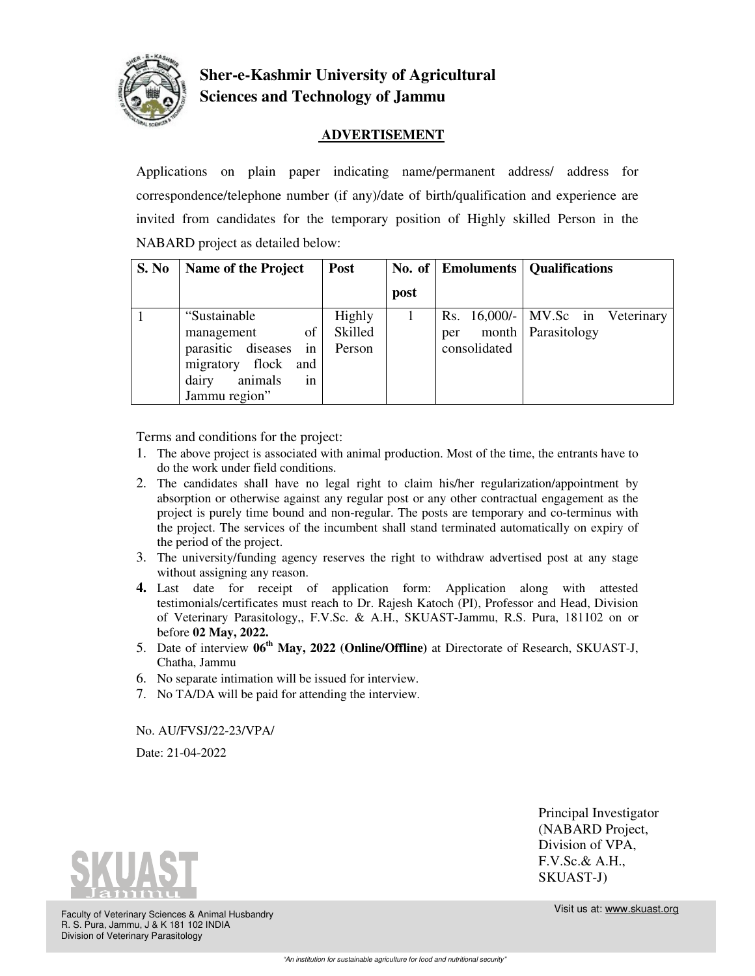

## **Sher-e-Kashmir University of Agricultural Sciences and Technology of Jammu**

## **ADVERTISEMENT**

Applications on plain paper indicating name/permanent address/ address for correspondence/telephone number (if any)/date of birth/qualification and experience are invited from candidates for the temporary position of Highly skilled Person in the NABARD project as detailed below:

| S. No | Name of the Project                                                                                            | Post                        |      |                     | No. of   Emoluments   Qualifications                     |
|-------|----------------------------------------------------------------------------------------------------------------|-----------------------------|------|---------------------|----------------------------------------------------------|
|       |                                                                                                                |                             | post |                     |                                                          |
|       | "Sustainable"<br>of<br>management<br>parasitic diseases in<br>migratory flock<br>and<br>animals<br>in<br>dairy | Highly<br>Skilled<br>Person |      | per<br>consolidated | Rs. 16,000/- MV.Sc in Veterinary<br>month   Parasitology |
|       | Jammu region"                                                                                                  |                             |      |                     |                                                          |

Terms and conditions for the project:

- 1. The above project is associated with animal production. Most of the time, the entrants have to do the work under field conditions.
- 2. The candidates shall have no legal right to claim his/her regularization/appointment by absorption or otherwise against any regular post or any other contractual engagement as the project is purely time bound and non-regular. The posts are temporary and co-terminus with the project. The services of the incumbent shall stand terminated automatically on expiry of the period of the project.
- 3. The university/funding agency reserves the right to withdraw advertised post at any stage without assigning any reason.
- **4.** Last date for receipt of application form: Application along with attested testimonials/certificates must reach to Dr. Rajesh Katoch (PI), Professor and Head, Division of Veterinary Parasitology,, F.V.Sc. & A.H., SKUAST-Jammu, R.S. Pura, 181102 on or before **02 May, 2022.**
- 5. Date of interview **06th May, 2022 (Online/Offline)** at Directorate of Research, SKUAST-J, Chatha, Jammu
- 6. No separate intimation will be issued for interview.
- 7. No TA/DA will be paid for attending the interview.

No. AU/FVSJ/22-23/VPA/

Date: 21-04-2022



Principal Investigator (NABARD Project, Division of VPA, F.V.Sc.& A.H., SKUAST-J)

Faculty of Veterinary Sciences & Animal Husbandry R. S. Pura, Jammu, J & K 181 102 INDIA Division of Veterinary Parasitology

Visit us at: www.skuast.org